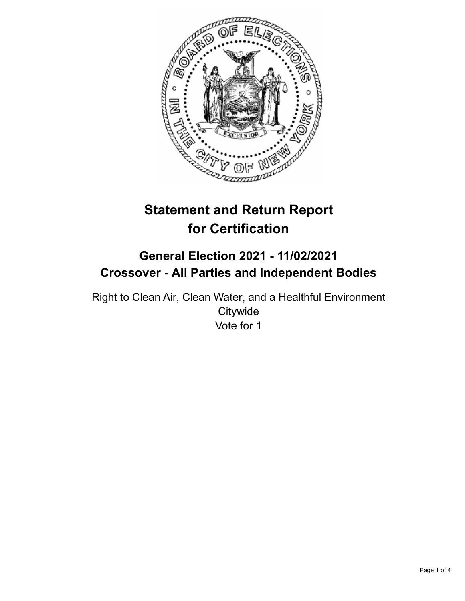

# **Statement and Return Report for Certification**

## **General Election 2021 - 11/02/2021 Crossover - All Parties and Independent Bodies**

Right to Clean Air, Clean Water, and a Healthful Environment **Citywide** Vote for 1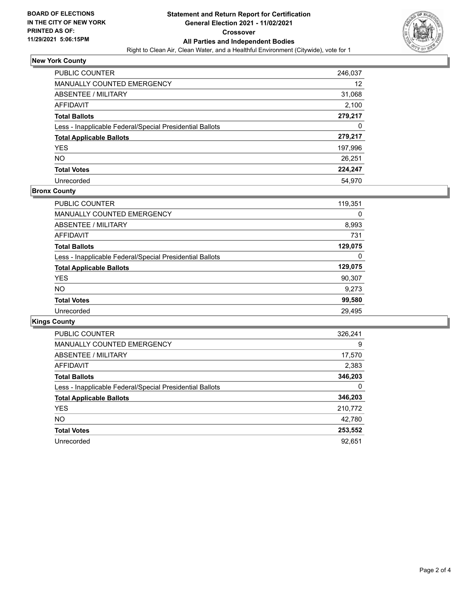

## **New York County**

| PUBLIC COUNTER                                           | 246,037 |
|----------------------------------------------------------|---------|
| MANUALLY COUNTED EMERGENCY                               | 12      |
| ABSENTEE / MILITARY                                      | 31,068  |
| AFFIDAVIT                                                | 2,100   |
| <b>Total Ballots</b>                                     | 279,217 |
| Less - Inapplicable Federal/Special Presidential Ballots | 0       |
| <b>Total Applicable Ballots</b>                          | 279,217 |
| <b>YES</b>                                               | 197,996 |
| <b>NO</b>                                                | 26,251  |
| <b>Total Votes</b>                                       | 224,247 |
| Unrecorded                                               | 54.970  |

## **Bronx County**

| <b>PUBLIC COUNTER</b>                                    | 119,351 |
|----------------------------------------------------------|---------|
| <b>MANUALLY COUNTED EMERGENCY</b>                        | 0       |
| ABSENTEE / MILITARY                                      | 8,993   |
| AFFIDAVIT                                                | 731     |
| <b>Total Ballots</b>                                     | 129,075 |
| Less - Inapplicable Federal/Special Presidential Ballots | 0       |
| <b>Total Applicable Ballots</b>                          | 129,075 |
| <b>YES</b>                                               | 90,307  |
| NO.                                                      | 9,273   |
| <b>Total Votes</b>                                       | 99,580  |
| Unrecorded                                               | 29.495  |

## **Kings County**

| <b>PUBLIC COUNTER</b>                                    | 326,241 |
|----------------------------------------------------------|---------|
| MANUALLY COUNTED EMERGENCY                               | 9       |
| ABSENTEE / MILITARY                                      | 17,570  |
| <b>AFFIDAVIT</b>                                         | 2,383   |
| <b>Total Ballots</b>                                     | 346,203 |
| Less - Inapplicable Federal/Special Presidential Ballots | 0       |
| <b>Total Applicable Ballots</b>                          | 346,203 |
| <b>YES</b>                                               | 210,772 |
| NO.                                                      | 42,780  |
| <b>Total Votes</b>                                       | 253,552 |
| Unrecorded                                               | 92.651  |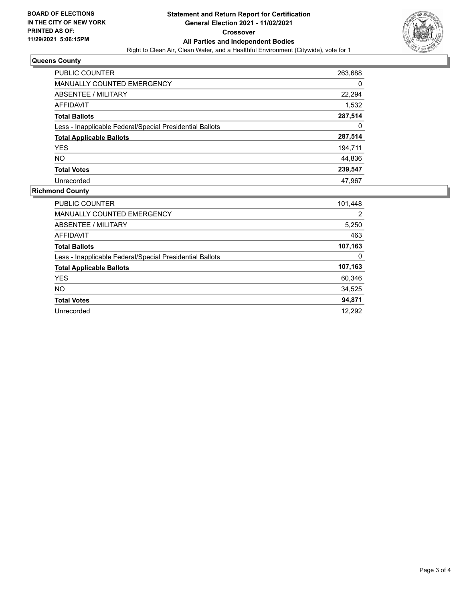

## **Queens County**

| <b>PUBLIC COUNTER</b>                                    | 263,688 |
|----------------------------------------------------------|---------|
| <b>MANUALLY COUNTED EMERGENCY</b>                        | 0       |
| ABSENTEE / MILITARY                                      | 22,294  |
| AFFIDAVIT                                                | 1,532   |
| <b>Total Ballots</b>                                     | 287,514 |
| Less - Inapplicable Federal/Special Presidential Ballots | 0       |
| <b>Total Applicable Ballots</b>                          | 287,514 |
| <b>YES</b>                                               | 194,711 |
| <b>NO</b>                                                | 44,836  |
| <b>Total Votes</b>                                       | 239,547 |
| Unrecorded                                               | 47.967  |

## **Richmond County**

| <b>PUBLIC COUNTER</b>                                    | 101,448 |
|----------------------------------------------------------|---------|
| <b>MANUALLY COUNTED EMERGENCY</b>                        | 2       |
| ABSENTEE / MILITARY                                      | 5,250   |
| AFFIDAVIT                                                | 463     |
| <b>Total Ballots</b>                                     | 107,163 |
| Less - Inapplicable Federal/Special Presidential Ballots | 0       |
| <b>Total Applicable Ballots</b>                          | 107,163 |
| <b>YES</b>                                               | 60,346  |
| NO.                                                      | 34,525  |
| <b>Total Votes</b>                                       | 94,871  |
| Unrecorded                                               | 12.292  |